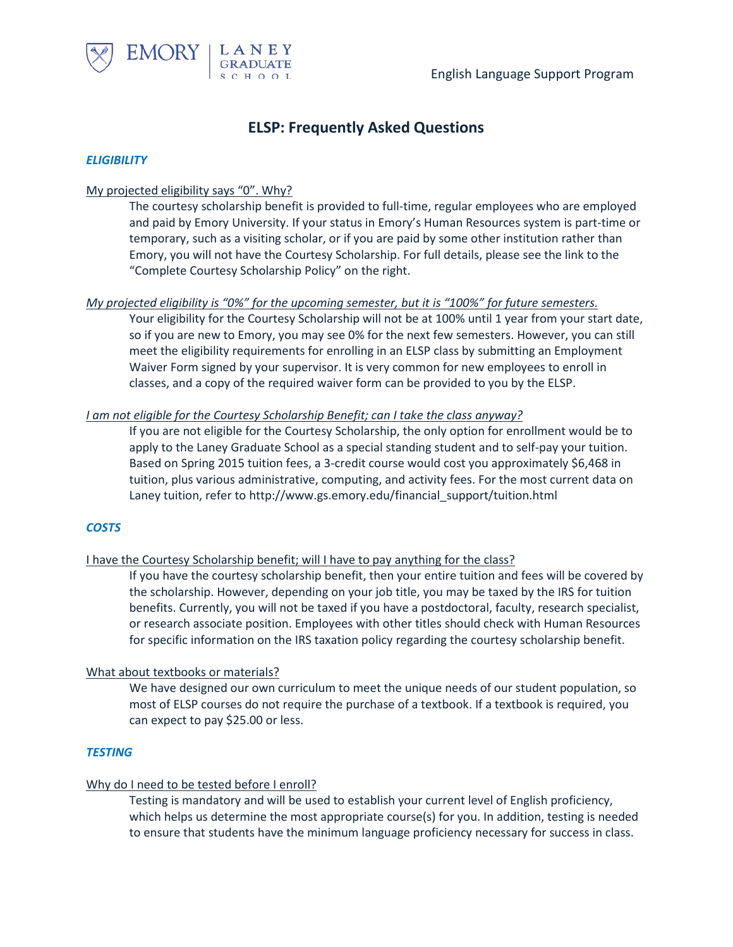

# **ELSP: Frequently Asked Questions**

# *ELIGIBILITY*

# My projected eligibility says "0". Why?

The courtesy scholarship benefit is provided to full-time, regular employees who are employed and paid by Emory University. If your status in Emory's Human Resources system is part-time or temporary, such as a visiting scholar, or if you are paid by some other institution rather than Emory, you will not have the Courtesy Scholarship. For full details, please see the link to the "Complete Courtesy Scholarship Policy" on the right.

# *My projected eligibility is "0%" for the upcoming semester, but it is "100%" for future semesters.*

Your eligibility for the Courtesy Scholarship will not be at 100% until 1 year from your start date, so if you are new to Emory, you may see 0% for the next few semesters. However, you can still meet the eligibility requirements for enrolling in an ELSP class by submitting an Employment Waiver Form signed by your supervisor. It is very common for new employees to enroll in classes, and a copy of the required waiver form can be provided to you by the ELSP.

#### *I am not eligible for the Courtesy Scholarship Benefit; can I take the class anyway?*

If you are not eligible for the Courtesy Scholarship, the only option for enrollment would be to apply to the Laney Graduate School as a special standing student and to self-pay your tuition. Based on Spring 2015 tuition fees, a 3-credit course would cost you approximately \$6,468 in tuition, plus various administrative, computing, and activity fees. For the most current data on Laney tuition, refer to http://www.gs.emory.edu/financial\_support/tuition.html

#### *COSTS*

#### I have the Courtesy Scholarship benefit; will I have to pay anything for the class?

If you have the courtesy scholarship benefit, then your entire tuition and fees will be covered by the scholarship. However, depending on your job title, you may be taxed by the IRS for tuition benefits. Currently, you will not be taxed if you have a postdoctoral, faculty, research specialist, or research associate position. Employees with other titles should check with Human Resources for specific information on the IRS taxation policy regarding the courtesy scholarship benefit.

#### What about textbooks or materials?

We have designed our own curriculum to meet the unique needs of our student population, so most of ELSP courses do not require the purchase of a textbook. If a textbook is required, you can expect to pay \$25.00 or less.

#### *TESTING*

# Why do I need to be tested before I enroll?

Testing is mandatory and will be used to establish your current level of English proficiency, which helps us determine the most appropriate course(s) for you. In addition, testing is needed to ensure that students have the minimum language proficiency necessary for success in class.